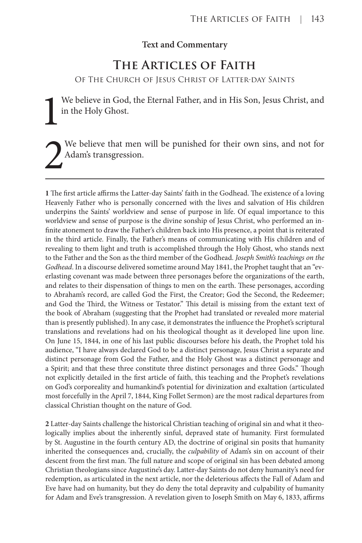## **Text and Commentary**

## **The Articles of Faith**

Of The Church of Jesus Christ of Latter-day Saints

We believe in God, the Eternal Father, and in His Son, Jesus Christ, and in the Holy Ghost.

We believe that men will be punished for their own sins, and not for Adam's transgression.

**1** The first article affirms the Latter-day Saints' faith in the Godhead. The existence of a loving Heavenly Father who is personally concerned with the lives and salvation of His children underpins the Saints' worldview and sense of purpose in life. Of equal importance to this worldview and sense of purpose is the divine sonship of Jesus Christ, who performed an infinite atonement to draw the Father's children back into His presence, a point that is reiterated in the third article. Finally, the Father's means of communicating with His children and of revealing to them light and truth is accomplished through the Holy Ghost, who stands next to the Father and the Son as the third member of the Godhead. *Joseph Smith's teachings on the Godhead*. In a discourse delivered sometime around May 1841, the Prophet taught that an "everlasting covenant was made between three personages before the organizations of the earth, and relates to their dispensation of things to men on the earth. These personages, according to Abraham's record, are called God the First, the Creator; God the Second, the Redeemer; and God the Third, the Witness or Testator." This detail is missing from the extant text of the book of Abraham (suggesting that the Prophet had translated or revealed more material than is presently published). In any case, it demonstrates the influence the Prophet's scriptural translations and revelations had on his theological thought as it developed line upon line. On June 15, 1844, in one of his last public discourses before his death, the Prophet told his audience, "I have always declared God to be a distinct personage, Jesus Christ a separate and distinct personage from God the Father, and the Holy Ghost was a distinct personage and a Spirit; and that these three constitute three distinct personages and three Gods." Though not explicitly detailed in the first article of faith, this teaching and the Prophet's revelations on God's corporeality and humankind's potential for divinization and exaltation (articulated most forcefully in the April 7, 1844, King Follet Sermon) are the most radical departures from classical Christian thought on the nature of God.

**2** Latter-day Saints challenge the historical Christian teaching of original sin and what it theologically implies about the inherently sinful, depraved state of humanity. First formulated by St. Augustine in the fourth century AD, the doctrine of original sin posits that humanity inherited the consequences and, crucially, the *culpability* of Adam's sin on account of their descent from the first man. The full nature and scope of original sin has been debated among Christian theologians since Augustine's day. Latter-day Saints do not deny humanity's need for redemption, as articulated in the next article, nor the deleterious affects the Fall of Adam and Eve have had on humanity, but they do deny the total depravity and culpability of humanity for Adam and Eve's transgression. A revelation given to Joseph Smith on May 6, 1833, affirms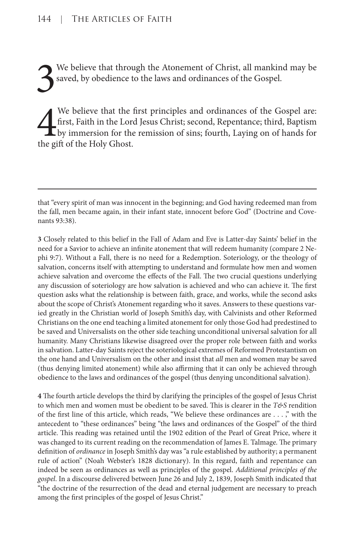3 We believe that through the Atonement of Christ, all mankind may be saved, by obedience to the laws and ordinances of the Gospel.

 $\frac{4}{\frac{1}{2}}$ We believe that the first principles and ordinances of the Gospel are: first, Faith in the Lord Jesus Christ; second, Repentance; third, Baptism by immersion for the remission of sins; fourth, Laying on of hands for the gift of the Holy Ghost.

**3** Closely related to this belief in the Fall of Adam and Eve is Latter-day Saints' belief in the need for a Savior to achieve an infinite atonement that will redeem humanity (compare 2 Nephi 9:7). Without a Fall, there is no need for a Redemption. Soteriology, or the theology of salvation, concerns itself with attempting to understand and formulate how men and women achieve salvation and overcome the effects of the Fall. The two crucial questions underlying any discussion of soteriology are how salvation is achieved and who can achieve it. The first question asks what the relationship is between faith, grace, and works, while the second asks about the scope of Christ's Atonement regarding who it saves. Answers to these questions varied greatly in the Christian world of Joseph Smith's day, with Calvinists and other Reformed Christians on the one end teaching a limited atonement for only those God had predestined to be saved and Universalists on the other side teaching unconditional universal salvation for all humanity. Many Christians likewise disagreed over the proper role between faith and works in salvation. Latter-day Saints reject the soteriological extremes of Reformed Protestantism on the one hand and Universalism on the other and insist that *all* men and women may be saved (thus denying limited atonement) while also affirming that it can only be achieved through obedience to the laws and ordinances of the gospel (thus denying unconditional salvation).

**4** The fourth article develops the third by clarifying the principles of the gospel of Jesus Christ to which men and women must be obedient to be saved. This is clearer in the *T&S* rendition of the first line of this article, which reads, "We believe these ordinances are . . . ," with the antecedent to "these ordinances" being "the laws and ordinances of the Gospel" of the third article. This reading was retained until the 1902 edition of the Pearl of Great Price, where it was changed to its current reading on the recommendation of James E. Talmage. The primary definition of *ordinance* in Joseph Smith's day was "a rule established by authority; a permanent rule of action" (Noah Webster's 1828 dictionary). In this regard, faith and repentance can indeed be seen as ordinances as well as principles of the gospel. *Additional principles of the gospel*. In a discourse delivered between June 26 and July 2, 1839, Joseph Smith indicated that "the doctrine of the resurrection of the dead and eternal judgement are necessary to preach among the first principles of the gospel of Jesus Christ."

that "every spirit of man was innocent in the beginning; and God having redeemed man from the fall, men became again, in their infant state, innocent before God" (Doctrine and Covenants 93:38).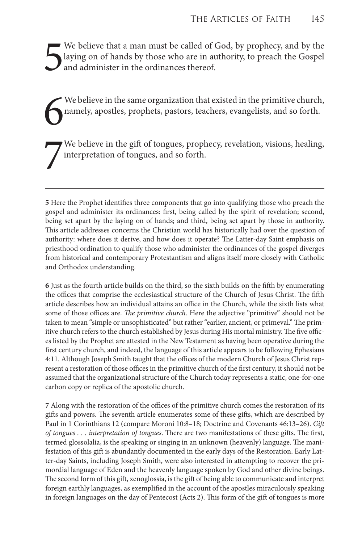5 We believe that a man must be called of God, by prophecy, and by the laying on of hands by those who are in authority, to preach the Gospel and administer in the ordinances thereof.

6 We believe in the same organization that existed in the primitive church, namely, apostles, prophets, pastors, teachers, evangelists, and so forth.

7 We believe in the gift of tongues, prophecy, revelation, visions, healing, interpretation of tongues, and so forth.

**5** Here the Prophet identifies three components that go into qualifying those who preach the gospel and administer its ordinances: first, being called by the spirit of revelation; second, being set apart by the laying on of hands; and third, being set apart by those in authority. This article addresses concerns the Christian world has historically had over the question of authority: where does it derive, and how does it operate? The Latter-day Saint emphasis on priesthood ordination to qualify those who administer the ordinances of the gospel diverges from historical and contemporary Protestantism and aligns itself more closely with Catholic and Orthodox understanding.

**6** Just as the fourth article builds on the third, so the sixth builds on the fifth by enumerating the offices that comprise the ecclesiastical structure of the Church of Jesus Christ. The fifth article describes how an individual attains an office in the Church, while the sixth lists what some of those offices are. *The primitive church*. Here the adjective "primitive" should not be taken to mean "simple or unsophisticated" but rather "earlier, ancient, or primeval." The primitive church refers to the church established by Jesus during His mortal ministry. The five offices listed by the Prophet are attested in the New Testament as having been operative during the first century church, and indeed, the language of this article appears to be following Ephesians 4:11. Although Joseph Smith taught that the offices of the modern Church of Jesus Christ represent a restoration of those offices in the primitive church of the first century, it should not be assumed that the organizational structure of the Church today represents a static, one-for-one carbon copy or replica of the apostolic church.

**7** Along with the restoration of the offices of the primitive church comes the restoration of its gifts and powers. The seventh article enumerates some of these gifts, which are described by Paul in 1 Corinthians 12 (compare Moroni 10:8–18; Doctrine and Covenants 46:13–26). *Gift of tongues . . . interpretation of tongues*. There are two manifestations of these gifts. The first, termed glossolalia, is the speaking or singing in an unknown (heavenly) language. The manifestation of this gift is abundantly documented in the early days of the Restoration. Early Latter-day Saints, including Joseph Smith, were also interested in attempting to recover the primordial language of Eden and the heavenly language spoken by God and other divine beings. The second form of this gift, xenoglossia, is the gift of being able to communicate and interpret foreign earthly languages, as exemplified in the account of the apostles miraculously speaking in foreign languages on the day of Pentecost (Acts 2). This form of the gift of tongues is more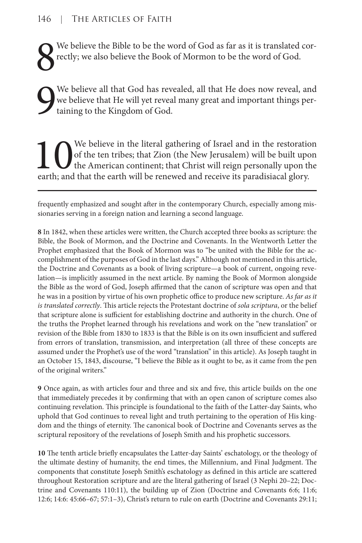8 We believe the Bible to be the word of God as far as it is translated correctly; we also believe the Book of Mormon to be the word of God.

9 We believe all that God has revealed, all that He does now reveal, and we believe that He will yet reveal many great and important things pertaining to the Kingdom of God.

The Use of the ten tribes; that Zion (the New Jerusalem) will be built upon<br>the American continent; that Christ will reign personally upon the<br>earth; and that the earth will be renewed and receive its paradisiacal glory. of the ten tribes; that Zion (the New Jerusalem) will be built upon the American continent; that Christ will reign personally upon the earth; and that the earth will be renewed and receive its paradisiacal glory.

frequently emphasized and sought after in the contemporary Church, especially among missionaries serving in a foreign nation and learning a second language.

**8** In 1842, when these articles were written, the Church accepted three books as scripture: the Bible, the Book of Mormon, and the Doctrine and Covenants. In the Wentworth Letter the Prophet emphasized that the Book of Mormon was to "be united with the Bible for the accomplishment of the purposes of God in the last days." Although not mentioned in this article, the Doctrine and Covenants as a book of living scripture—a book of current, ongoing revelation—is implicitly assumed in the next article. By naming the Book of Mormon alongside the Bible as the word of God, Joseph affirmed that the canon of scripture was open and that he was in a position by virtue of his own prophetic office to produce new scripture. *As far as it is translated correctly*. This article rejects the Protestant doctrine of *sola scriptura*, or the belief that scripture alone is sufficient for establishing doctrine and authority in the church. One of the truths the Prophet learned through his revelations and work on the "new translation" or revision of the Bible from 1830 to 1833 is that the Bible is on its own insufficient and suffered from errors of translation, transmission, and interpretation (all three of these concepts are assumed under the Prophet's use of the word "translation" in this article). As Joseph taught in an October 15, 1843, discourse, "I believe the Bible as it ought to be, as it came from the pen of the original writers."

**9** Once again, as with articles four and three and six and five, this article builds on the one that immediately precedes it by confirming that with an open canon of scripture comes also continuing revelation. This principle is foundational to the faith of the Latter-day Saints, who uphold that God continues to reveal light and truth pertaining to the operation of His kingdom and the things of eternity. The canonical book of Doctrine and Covenants serves as the scriptural repository of the revelations of Joseph Smith and his prophetic successors.

**10** The tenth article briefly encapsulates the Latter-day Saints' eschatology, or the theology of the ultimate destiny of humanity, the end times, the Millennium, and Final Judgment. The components that constitute Joseph Smith's eschatology as defined in this article are scattered throughout Restoration scripture and are the literal gathering of Israel (3 Nephi 20–22; Doctrine and Covenants 110:11), the building up of Zion (Doctrine and Covenants 6:6; 11:6; 12:6; 14:6: 45:66–67; 57:1–3), Christ's return to rule on earth (Doctrine and Covenants 29:11;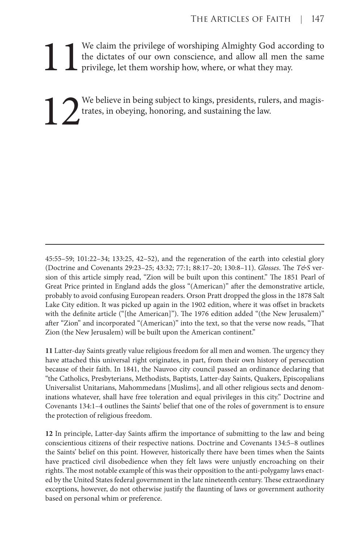We claim the privilege of worshiping Almighty God according to the dictates of our own conscience, and allow all men the same privilege, let them worship how, where, or what they may. the dictates of our own conscience, and allow all men the same privilege, let them worship how, where, or what they may.

We believe in being subject to kings, presidents, rulers, and magis-<br>trates, in obeying, honoring, and sustaining the law. trates, in obeying, honoring, and sustaining the law.

45:55–59; 101:22–34; 133:25, 42–52), and the regeneration of the earth into celestial glory (Doctrine and Covenants 29:23–25; 43:32; 77:1; 88:17–20; 130:8–11). *Glosses*. The *T&S* version of this article simply read, "Zion will be built upon this continent." The 1851 Pearl of Great Price printed in England adds the gloss "(American)" after the demonstrative article, probably to avoid confusing European readers. Orson Pratt dropped the gloss in the 1878 Salt Lake City edition. It was picked up again in the 1902 edition, where it was offset in brackets with the definite article ("[the American]"). The 1976 edition added "(the New Jerusalem)" after "Zion" and incorporated "(American)" into the text, so that the verse now reads, "That Zion (the New Jerusalem) will be built upon the American continent."

**11** Latter-day Saints greatly value religious freedom for all men and women. The urgency they have attached this universal right originates, in part, from their own history of persecution because of their faith. In 1841, the Nauvoo city council passed an ordinance declaring that "the Catholics, Presbyterians, Methodists, Baptists, Latter-day Saints, Quakers, Episcopalians Universalist Unitarians, Mahommedans [Muslims], and all other religious sects and denominations whatever, shall have free toleration and equal privileges in this city." Doctrine and Covenants 134:1–4 outlines the Saints' belief that one of the roles of government is to ensure the protection of religious freedom.

**12** In principle, Latter-day Saints affirm the importance of submitting to the law and being conscientious citizens of their respective nations. Doctrine and Covenants 134:5–8 outlines the Saints' belief on this point. However, historically there have been times when the Saints have practiced civil disobedience when they felt laws were unjustly encroaching on their rights. The most notable example of this was their opposition to the anti-polygamy laws enacted by the United States federal government in the late nineteenth century. These extraordinary exceptions, however, do not otherwise justify the flaunting of laws or government authority based on personal whim or preference.